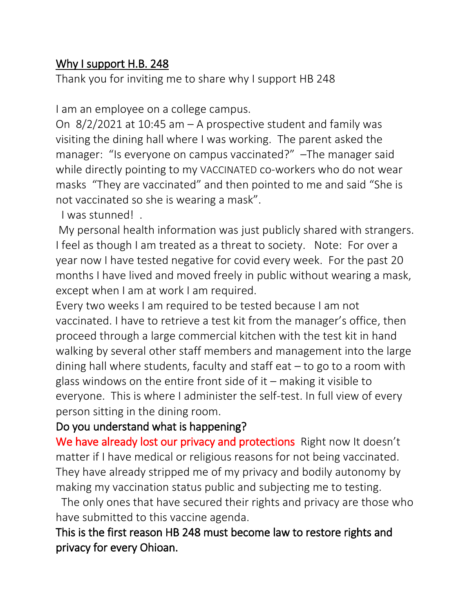### Why I support H.B. 248

Thank you for inviting me to share why I support HB 248

I am an employee on a college campus.

On 8/2/2021 at 10:45 am – A prospective student and family was visiting the dining hall where I was working. The parent asked the manager: "Is everyone on campus vaccinated?" –The manager said while directly pointing to my VACCINATED co-workers who do not wear masks "They are vaccinated" and then pointed to me and said "She is not vaccinated so she is wearing a mask".

I was stunned! .

My personal health information was just publicly shared with strangers. I feel as though I am treated as a threat to society. Note: For over a year now I have tested negative for covid every week. For the past 20 months I have lived and moved freely in public without wearing a mask, except when I am at work I am required.

Every two weeks I am required to be tested because I am not vaccinated. I have to retrieve a test kit from the manager's office, then proceed through a large commercial kitchen with the test kit in hand walking by several other staff members and management into the large dining hall where students, faculty and staff eat  $-$  to go to a room with glass windows on the entire front side of it – making it visible to everyone. This is where I administer the self-test. In full view of every person sitting in the dining room.

## Do you understand what is happening?

We have already lost our privacy and protections Right now It doesn't matter if I have medical or religious reasons for not being vaccinated. They have already stripped me of my privacy and bodily autonomy by making my vaccination status public and subjecting me to testing.

 The only ones that have secured their rights and privacy are those who have submitted to this vaccine agenda.

This is the first reason HB 248 must become law to restore rights and privacy for every Ohioan.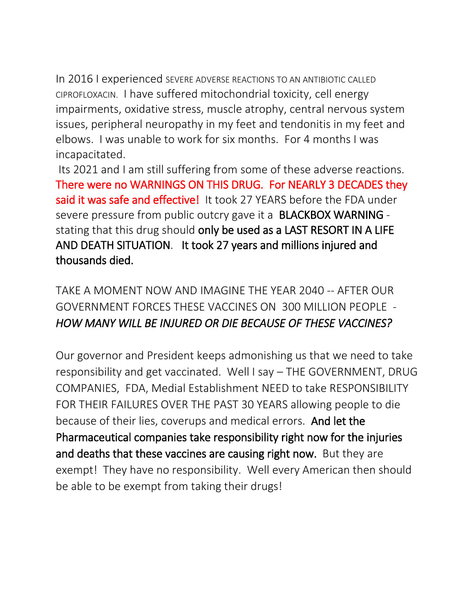In 2016 I experienced SEVERE ADVERSE REACTIONS TO AN ANTIBIOTIC CALLED CIPROFLOXACIN. I have suffered mitochondrial toxicity, cell energy impairments, oxidative stress, muscle atrophy, central nervous system issues, peripheral neuropathy in my feet and tendonitis in my feet and elbows. I was unable to work for six months. For 4 months I was incapacitated.

Its 2021 and I am still suffering from some of these adverse reactions. There were no WARNINGS ON THIS DRUG. For NEARLY 3 DECADES they said it was safe and effective! It took 27 YEARS before the FDA under severe pressure from public outcry gave it a BLACKBOX WARNING stating that this drug should only be used as a LAST RESORT IN A LIFE AND DEATH SITUATION. It took 27 years and millions injured and thousands died.

TAKE A MOMENT NOW AND IMAGINE THE YEAR 2040 -- AFTER OUR GOVERNMENT FORCES THESE VACCINES ON 300 MILLION PEOPLE - *HOW MANY WILL BE INJURED OR DIE BECAUSE OF THESE VACCINES?*

Our governor and President keeps admonishing us that we need to take responsibility and get vaccinated. Well I say – THE GOVERNMENT, DRUG COMPANIES, FDA, Medial Establishment NEED to take RESPONSIBILITY FOR THEIR FAILURES OVER THE PAST 30 YEARS allowing people to die because of their lies, coverups and medical errors. And let the Pharmaceutical companies take responsibility right now for the injuries and deaths that these vaccines are causing right now. But they are exempt! They have no responsibility. Well every American then should be able to be exempt from taking their drugs!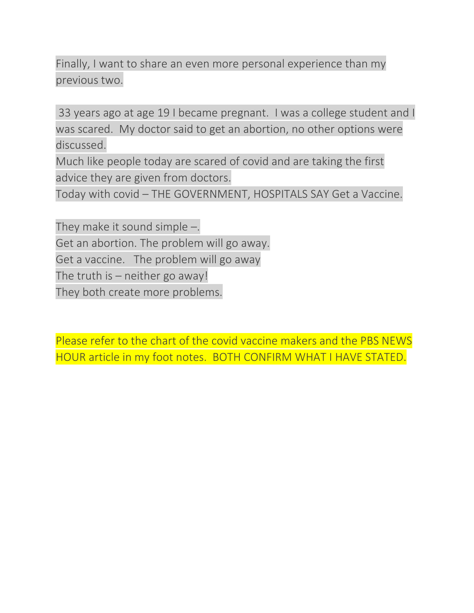Finally, I want to share an even more personal experience than my previous two.

33 years ago at age 19 I became pregnant. I was a college student and I was scared. My doctor said to get an abortion, no other options were discussed. Much like people today are scared of covid and are taking the first advice they are given from doctors. Today with covid – THE GOVERNMENT, HOSPITALS SAY Get a Vaccine.

They make it sound simple –. Get an abortion. The problem will go away. Get a vaccine. The problem will go away The truth is – neither go away! They both create more problems.

Please refer to the chart of the covid vaccine makers and the PBS NEWS HOUR article in my foot notes. BOTH CONFIRM WHAT I HAVE STATED.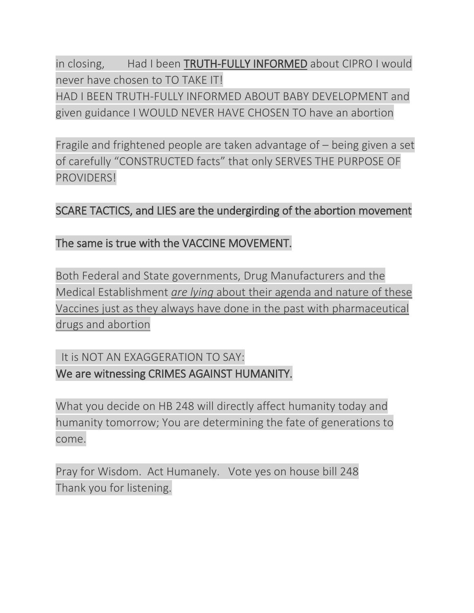in closing, Had I been TRUTH-FULLY INFORMED about CIPRO I would never have chosen to TO TAKE IT! HAD I BEEN TRUTH-FULLY INFORMED ABOUT BABY DEVELOPMENT and given guidance I WOULD NEVER HAVE CHOSEN TO have an abortion

Fragile and frightened people are taken advantage of – being given a set of carefully "CONSTRUCTED facts" that only SERVES THE PURPOSE OF PROVIDERS!

## SCARE TACTICS, and LIES are the undergirding of the abortion movement

## The same is true with the VACCINE MOVEMENT.

Both Federal and State governments, Drug Manufacturers and the Medical Establishment *are lying* about their agenda and nature of these Vaccines just as they always have done in the past with pharmaceutical drugs and abortion

# It is NOT AN EXAGGERATION TO SAY: We are witnessing CRIMES AGAINST HUMANITY.

What you decide on HB 248 will directly affect humanity today and humanity tomorrow; You are determining the fate of generations to come.

Pray for Wisdom. Act Humanely. Vote yes on house bill 248 Thank you for listening.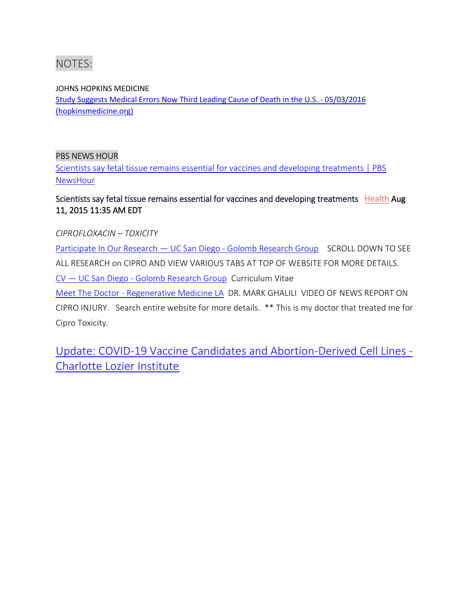

JOHNS HOPKINS MEDICINE

[Study Suggests Medical Errors Now Third Leading Cause of Death in the U.S. -](https://www.hopkinsmedicine.org/news/media/releases/study_suggests_medical_errors_now_third_leading_cause_of_death_in_the_us) 05/03/2016 [\(hopkinsmedicine.org\)](https://www.hopkinsmedicine.org/news/media/releases/study_suggests_medical_errors_now_third_leading_cause_of_death_in_the_us)

#### PBS NEWS HOUR

[Scientists say fetal tissue remains essential for vaccines and developing treatments | PBS](https://www.pbs.org/newshour/health/medical-researchers-say-fetal-tissue-remains-essential)  **NewsHour** 

#### Scientists say fetal tissue remains essential for vaccines and developing treatments [Health](https://www.pbs.org/newshour/health) Aug 11, 2015 11:35 AM EDT

*CIPROFLOXACIN – TOXICITY*

[Participate In Our Research](https://www.golombresearchgroup.org/participateinourresearch#fluoroquinoloneadverseeffevents) — UC San Diego - Golomb Research Group SCROLL DOWN TO SEE ALL RESEARCH on CIPRO AND VIEW VARIOUS TABS AT TOP OF WEBSITE FOR MORE DETAILS. CV — UC San Diego - [Golomb Research Group](https://www.golombresearchgroup.org/pagecv) Curriculum Vitae Meet The Doctor - [Regenerative Medicine LA](https://regenerativemedicinela.com/meet-the-doctor/) DR. MARK GHALILI VIDEO OF NEWS REPORT ON CIPRO INJURY. Search entire website for more details. \*\* This is my doctor that treated me for Cipro Toxicity.

[Update: COVID-19 Vaccine Candidates and Abortion-Derived Cell Lines -](https://lozierinstitute.org/update-covid-19-vaccine-candidates-and-abortion-derived-cell-lines/) [Charlotte Lozier Institute](https://lozierinstitute.org/update-covid-19-vaccine-candidates-and-abortion-derived-cell-lines/)